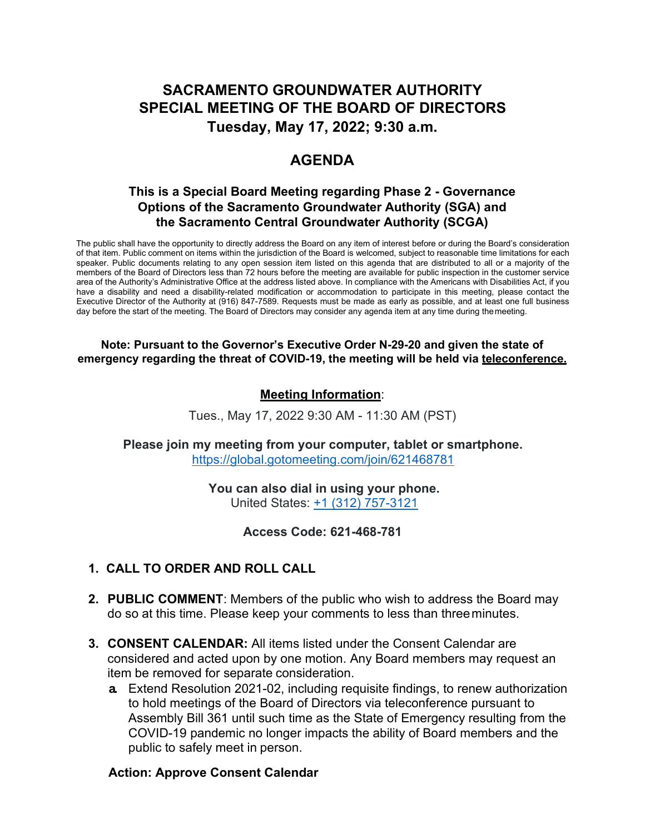# **SACRAMENTO GROUNDWATER AUTHORITY SPECIAL MEETING OF THE BOARD OF DIRECTORS Tuesday, May 17, 2022; 9:30 a.m.**

# **AGENDA**

# **This is a Special Board Meeting regarding Phase 2 - Governance Options of the Sacramento Groundwater Authority (SGA) and the Sacramento Central Groundwater Authority (SCGA)**

The public shall have the opportunity to directly address the Board on any item of interest before or during the Board's consideration of that item. Public comment on items within the jurisdiction of the Board is welcomed, subject to reasonable time limitations for each speaker. Public documents relating to any open session item listed on this agenda that are distributed to all or a majority of the members of the Board of Directors less than 72 hours before the meeting are available for public inspection in the customer service area of the Authority's Administrative Office at the address listed above. In compliance with the Americans with Disabilities Act, if you have a disability and need a disability-related modification or accommodation to participate in this meeting, please contact the Executive Director of the Authority at (916) 847-7589. Requests must be made as early as possible, and at least one full business day before the start of the meeting. The Board of Directors may consider any agenda item at any time during themeeting.

#### **Note: Pursuant to the Governor's Executive Order N-29-20 and given the state of emergency regarding the threat of COVID-19, the meeting will be held via teleconference.**

# **Meeting Information**:

Tues., May 17, 2022 9:30 AM - 11:30 AM (PST)

**Please join my meeting from your computer, tablet or smartphone.** [https://global.gotomeeting.com/join/621468781](https://global.gotomeeting.com/join/233158173)

> **You can also dial in using your phone.** United States: +1 (312) 757-3121

> > **Access Code: 621-468-781**

### **1. CALL TO ORDER AND ROLL CALL**

- **2. PUBLIC COMMENT**: Members of the public who wish to address the Board may do so at this time. Please keep your comments to less than threeminutes.
- **3. CONSENT CALENDAR:** All items listed under the Consent Calendar are considered and acted upon by one motion. Any Board members may request an item be removed for separate consideration.
	- **a.** Extend Resolution 2021-02, including requisite findings, to renew authorization to hold meetings of the Board of Directors via teleconference pursuant to Assembly Bill 361 until such time as the State of Emergency resulting from the COVID-19 pandemic no longer impacts the ability of Board members and the public to safely meet in person.

### **Action: Approve Consent Calendar**